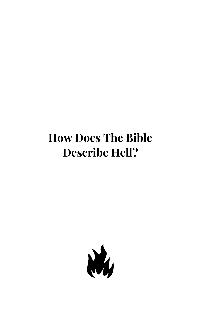## **How Does The Bible Describe Hell?**

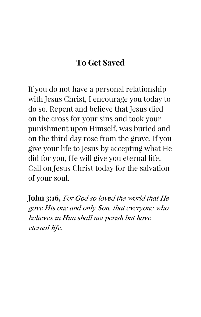## **To Get Saved**

If you do not have a personal relationship with Jesus Christ, I encourage you today to do so. Repent and believe that Jesus died on the cross for your sins and took your punishment upon Himself, was buried and on the third day rose from the grave. If you give your life to Jesus by accepting what He did for you, He will give you eternal life. Call on Jesus Christ today for the salvation of your soul.

**John 3:16,** For God so loved the world that He gave His one and only Son, that everyone who believes in Him shall not perish but have eternal life.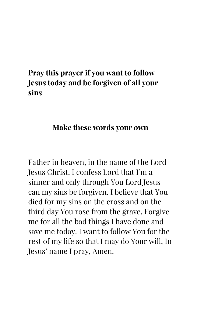## **Pray this prayer if you want to follow Jesus today and be forgiven of all your sins**

#### **Make these words your own**

Father in heaven, in the name of the Lord Jesus Christ. I confess Lord that I'm a sinner and only through You Lord Jesus can my sins be forgiven. I believe that You died for my sins on the cross and on the third day You rose from the grave. Forgive me for all the bad things I have done and save me today. I want to follow You for the rest of my life so that I may do Your will, In Jesus' name I pray, Amen.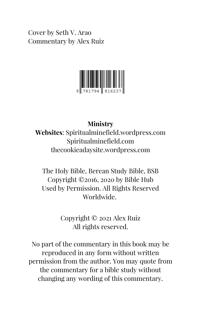Cover by Seth V. Arao Commentary by Alex Ruiz



#### **Ministry**

**Websites**: Spiritualminefield.wordpress.com Spiritualminefield.com thecookieadaysite.wordpress.com

The Holy Bible, Berean Study Bible, BSB Copyright ©2016, 2020 by Bible Hub Used by Permission. All Rights Reserved Worldwide.

> Copyright © 2021 Alex Ruiz All rights reserved.

No part of the commentary in this book may be reproduced in any form without written permission from the author. You may quote from the commentary for a bible study without changing any wording of this commentary.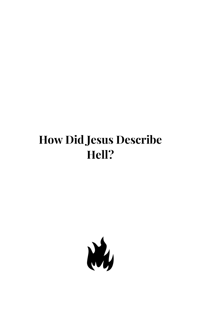## **How Did Jesus Describe Hell?**

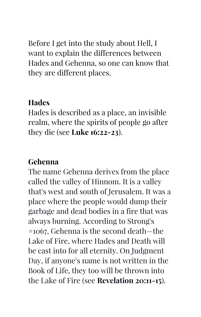Before I get into the study about Hell, I want to explain the differences between Hades and Gehenna, so one can know that they are different places.

## **Hades**

Hades is described as a place, an invisible realm, where the spirits of people go after they die (see **Luke 16:22-23**).

## **Gehenna**

The name Gehenna derives from the place called the valley of Hinnom. It is a valley that's west and south of Jerusalem. It was a place where the people would dump their garbage and dead bodies in a fire that was always burning. According to Strong's #1067, Gehenna is the second death—the Lake of Fire, where Hades and Death will be cast into for all eternity. On Judgment Day, if anyone's name is not written in the Book of Life, they too will be thrown into the Lake of Fire (see **Revelation 20:11-15**).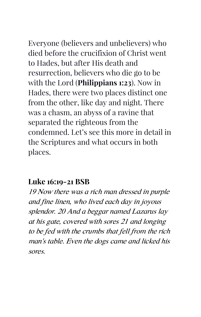Everyone (believers and unbelievers) who died before the crucifixion of Christ went to Hades, but after His death and resurrection, believers who die go to be with the Lord (**Philippians 1:23**). Now in Hades, there were two places distinct one from the other, like day and night. There was a chasm, an abyss of a ravine that separated the righteous from the condemned. Let's see this more in detail in the Scriptures and what occurs in both places.

### **Luke 16:19-21 BSB**

19 Now there was a rich man dressed in purple and fine linen, who lived each day in joyous splendor. 20 And a beggar named Lazarus lay at his gate, covered with sores 21 and longing to be fed with the crumbs that fell from the rich man's table. Even the dogs came and licked his sores.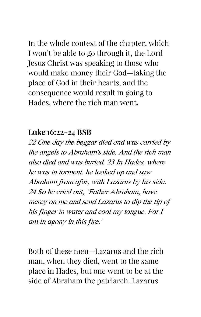In the whole context of the chapter, which I won't be able to go through it, the Lord Jesus Christ was speaking to those who would make money their God—taking the place of God in their hearts, and the consequence would result in going to Hades, where the rich man went.

#### **Luke 16:22-24 BSB**

22 One day the beggar died and was carried by the angels to Abraham's side. And the rich man also died and was buried. 23 In Hades, where he was in torment, he looked up and saw Abraham from afar, with Lazarus by his side. 24 So he cried out, 'Father Abraham, have mercy on me and send Lazarus to dip the tip of his finger in water and cool my tongue. For I am in agony in this fire.'

Both of these men—Lazarus and the rich man, when they died, went to the same place in Hades, but one went to be at the side of Abraham the patriarch. Lazarus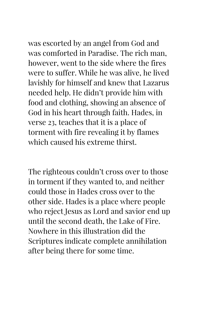was escorted by an angel from God and was comforted in Paradise. The rich man, however, went to the side where the fires were to suffer. While he was alive, he lived lavishly for himself and knew that Lazarus needed help. He didn't provide him with food and clothing, showing an absence of God in his heart through faith. Hades, in verse 23, teaches that it is a place of torment with fire revealing it by flames which caused his extreme thirst.

The righteous couldn't cross over to those in torment if they wanted to, and neither could those in Hades cross over to the other side. Hades is a place where people who reject Jesus as Lord and savior end up until the second death, the Lake of Fire. Nowhere in this illustration did the Scriptures indicate complete annihilation after being there for some time.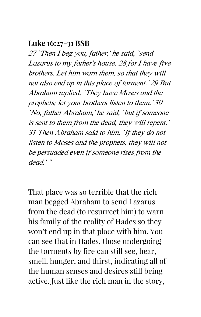#### **Luke 16:27-31 BSB**

27 'Then I beg you, father,' he said, 'send Lazarus to my father's house, 28 for I have five brothers. Let him warn them, so that they will not also end up in this place of torment.' 29 But Abraham replied, 'They have Moses and the prophets; let your brothers listen to them.' 30 'No, father Abraham,' he said, 'but if someone is sent to them from the dead, they will repent.' 31 Then Abraham said to him, 'If they do not listen to Moses and the prophets, they will not be persuaded even if someone rises from the dead.' "

That place was so terrible that the rich man begged Abraham to send Lazarus from the dead (to resurrect him) to warn his family of the reality of Hades so they won't end up in that place with him. You can see that in Hades, those undergoing the torments by fire can still see, hear, smell, hunger, and thirst, indicating all of the human senses and desires still being active. Just like the rich man in the story,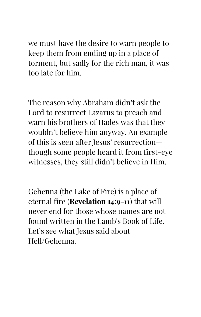we must have the desire to warn people to keep them from ending up in a place of torment, but sadly for the rich man, it was too late for him.

The reason why Abraham didn't ask the Lord to resurrect Lazarus to preach and warn his brothers of Hades was that they wouldn't believe him anyway. An example of this is seen after Jesus' resurrection though some people heard it from first-eye witnesses, they still didn't believe in Him.

Gehenna (the Lake of Fire) is a place of eternal fire (**Revelation 14:9-11**) that will never end for those whose names are not found written in the Lamb's Book of Life. Let's see what Jesus said about Hell/Gehenna.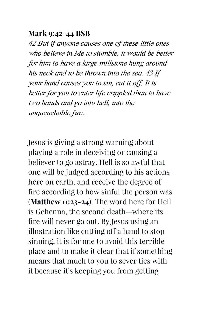### **Mark 9:42-44 BSB**

42 But if anyone causes one of these little ones who believe in Me to stumble, it would be better for him to have a large millstone hung around his neck and to be thrown into the sea. 43 If your hand causes you to sin, cut it off. It is better for you to enter life crippled than to have two hands and go into hell, into the unquenchable fire.

Jesus is giving a strong warning about playing a role in deceiving or causing a believer to go astray. Hell is so awful that one will be judged according to his actions here on earth, and receive the degree of fire according to how sinful the person was (**Matthew 11:23-24**). The word here for Hell is Gehenna, the second death—where its fire will never go out. By Jesus using an illustration like cutting off a hand to stop sinning, it is for one to avoid this terrible place and to make it clear that if something means that much to you to sever ties with it because it's keeping you from getting